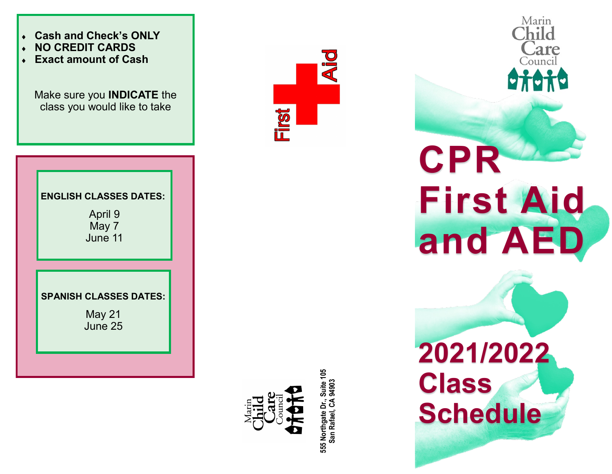



**555 Northgate Dr., Suite 105**  555 Northgate Dr., Suite 105<br>San Rafael, CA 94903 **San Rafael, CA 94903**

**Aid** 

irst